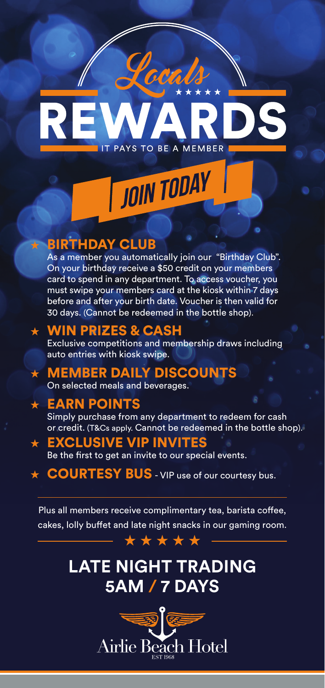# IT PAYS TO BE A MEMBER

JOIN TODAY

### **BIRTHDAY CLUB**

As a member you automatically join our "Birthday Club". On your birthday receive a \$50 credit on your members card to spend in any department. To access voucher, you must swipe your members card at the kiosk within 7 days before and after your birth date. Voucher is then valid for 30 days. (Cannot be redeemed in the bottle shop).

### **WIN PRIZES & CASH**

Exclusive competitions and membership draws including auto entries with kiosk swipe.

# **MEMBER DAILY DISCOUNTS**

On selected meals and beverages.

## **EARN POINTS**

Simply purchase from any department to redeem for cash or credit. (T&Cs apply. Cannot be redeemed in the bottle shop).

# ★ EXCLUSIVE VIP INVITES

Be the first to get an invite to our special events.

★ COURTESY BUS - VIP use of our courtesy bus.

Plus all members receive complimentary tea, barista coffee, cakes, lolly buffet and late night snacks in our gaming room. \*\*\*\*\*

# **LATE NIGHT TRADING 5AM / 7 DAYS**